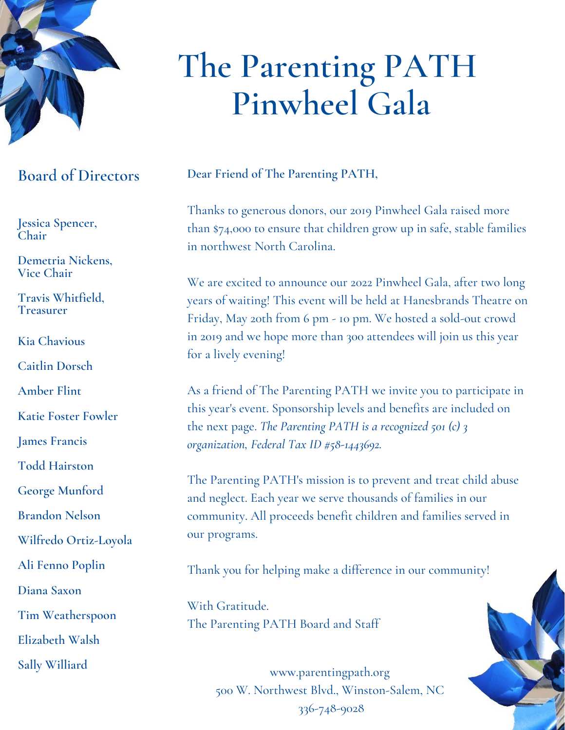

## **Board of Directors**

**Jessica Spencer, Chair**

**Demetria Nickens, Vice Chair**

**Travis Whitfield, Treasurer**

**Kia Chavious**

**Caitlin Dorsch**

**Amber Flint**

**Katie Foster Fowler**

**James Francis**

**Todd Hairston**

**George Munford**

**Brandon Nelson**

**Wilfredo Ortiz-Loyola**

**Ali Fenno Poplin**

**Diana Saxon**

**Tim Weatherspoon**

**Elizabeth Walsh**

**Sally Williard**

# **The Parenting PATH Pinwheel Gala**

**Dear Friend of The Parenting PATH,**

Thanks to generous donors, our 2019 Pinwheel Gala raised more than \$74,000 to ensure that children grow up in safe, stable families in northwest North Carolina.

We are excited to announce our 2022 Pinwheel Gala, after two long years of waiting! This event will be held at Hanesbrands Theatre on Friday, May 20th from 6 pm - 10 pm. We hosted a sold-out crowd in 2019 and we hope more than 300 attendees will join us this year for a lively evening!

As a friend of The Parenting PATH we invite you to participate in this year's event. Sponsorship levels and benefits are included on the next page. *The Parenting PATH is a recognized 501 (c) 3 organization, Federal Tax ID #58-1443692.*

The Parenting PATH's mission is to prevent and treat child abuse and neglect. Each year we serve thousands of families in our community. All proceeds benefit children and families served in our programs.

Thank you for helping make a difference in our community!

With Gratitude. The Parenting PATH Board and Staff

> www.parentingpath.org 500 W. Northwest Blvd., Winston-Salem, NC 336-748-9028